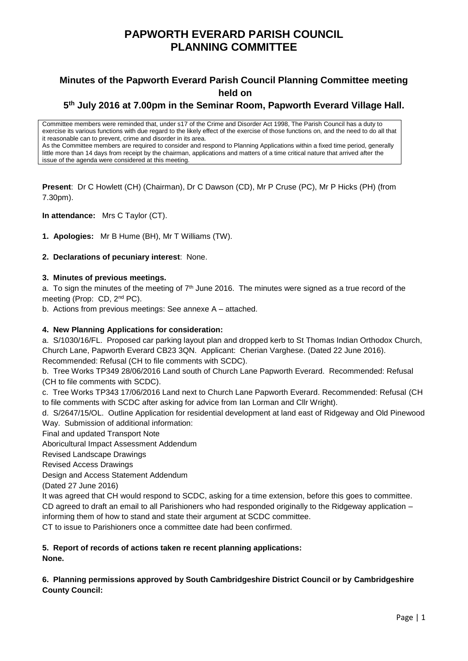# **PAPWORTH EVERARD PARISH COUNCIL PLANNING COMMITTEE**

# **Minutes of the Papworth Everard Parish Council Planning Committee meeting held on**

# **5 th July 2016 at 7.00pm in the Seminar Room, Papworth Everard Village Hall.**

Committee members were reminded that, under s17 of the Crime and Disorder Act 1998, The Parish Council has a duty to exercise its various functions with due regard to the likely effect of the exercise of those functions on, and the need to do all that it reasonable can to prevent, crime and disorder in its area. As the Committee members are required to consider and respond to Planning Applications within a fixed time period, generally little more than 14 days from receipt by the chairman, applications and matters of a time critical nature that arrived after the issue of the agenda were considered at this meeting.

**Present**: Dr C Howlett (CH) (Chairman), Dr C Dawson (CD), Mr P Cruse (PC), Mr P Hicks (PH) (from 7.30pm).

**In attendance:** Mrs C Taylor (CT).

**1. Apologies:** Mr B Hume (BH), Mr T Williams (TW).

### **2. Declarations of pecuniary interest**: None.

### **3. Minutes of previous meetings.**

a. To sign the minutes of the meeting of  $7<sup>th</sup>$  June 2016. The minutes were signed as a true record of the meeting (Prop: CD, 2nd PC).

b. Actions from previous meetings: See annexe A – attached.

#### **4. New Planning Applications for consideration:**

a. S/1030/16/FL. Proposed car parking layout plan and dropped kerb to St Thomas Indian Orthodox Church, Church Lane, Papworth Everard CB23 3QN. Applicant: Cherian Varghese. (Dated 22 June 2016). Recommended: Refusal (CH to file comments with SCDC).

b. Tree Works TP349 28/06/2016 Land south of Church Lane Papworth Everard. Recommended: Refusal (CH to file comments with SCDC).

c. Tree Works TP343 17/06/2016 Land next to Church Lane Papworth Everard. Recommended: Refusal (CH to file comments with SCDC after asking for advice from Ian Lorman and Cllr Wright).

d. S/2647/15/OL. Outline Application for residential development at land east of Ridgeway and Old Pinewood Way. Submission of additional information:

Final and updated Transport Note

Aboricultural Impact Assessment Addendum

Revised Landscape Drawings

Revised Access Drawings

Design and Access Statement Addendum

(Dated 27 June 2016)

It was agreed that CH would respond to SCDC, asking for a time extension, before this goes to committee. CD agreed to draft an email to all Parishioners who had responded originally to the Ridgeway application – informing them of how to stand and state their argument at SCDC committee.

CT to issue to Parishioners once a committee date had been confirmed.

#### **5. Report of records of actions taken re recent planning applications: None.**

# **6. Planning permissions approved by South Cambridgeshire District Council or by Cambridgeshire County Council:**